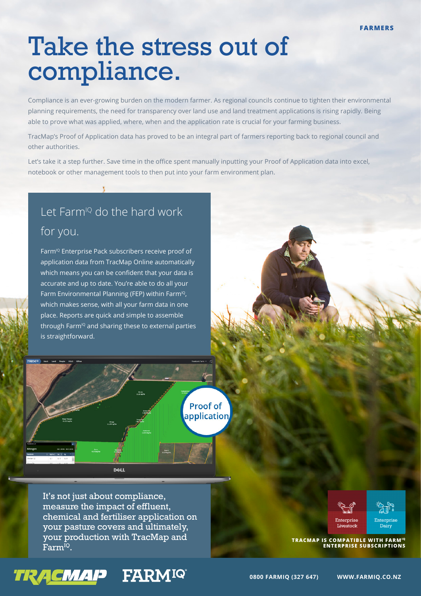## Take the stress out of compliance.

Compliance is an ever-growing burden on the modern farmer. As regional councils continue to tighten their environmental planning requirements, the need for transparency over land use and land treatment applications is rising rapidly. Being able to prove what was applied, where, when and the application rate is crucial for your farming business.

TracMap's Proof of Application data has proved to be an integral part of farmers reporting back to regional council and other authorities.

Let's take it a step further. Save time in the office spent manually inputting your Proof of Application data into excel, notebook or other management tools to then put into your farm environment plan.

## Let Farm<sup>io</sup> do the hard work for you.

Farm<sup>IQ</sup> Enterprise Pack subscribers receive proof of application data from TracMap Online automatically which means you can be confident that your data is accurate and up to date. You're able to do all your Farm Environmental Planning (FEP) within Farm<sup>10</sup>, which makes sense, with all your farm data in one place. Reports are quick and simple to assemble through Farm<sup>10</sup> and sharing these to external parties is straightforward.

> **Proof of** application

It's not just about compliance, measure the impact of effluent, chemical and fertiliser application on your pasture covers and ultimately, your production with TracMap and **FACT APPROXIMATELY SUIT DESCRIPTION WITH TACTLE ATTACTMENT ARMIQUE TRACMAP IS COMPATIBLE WITH FARMIQUE TRACMAP**<br>**FATTICIPS ENTERPRISE SUBSCRIPTIONS** 

**DEAL** 





**ENTERPRISE SUBSCRIPTIONS**